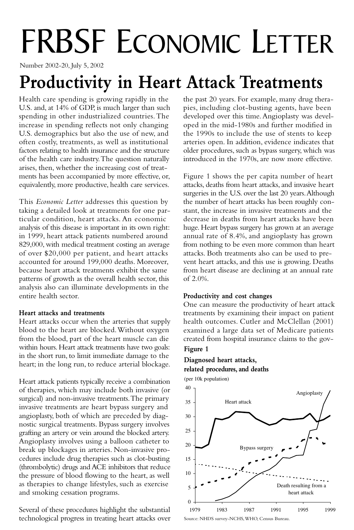# FRBSF ECONOMIC LETTER

Number 2002-20, July 5, 2002

# **Productivity in Heart Attack Treatments**

Health care spending is growing rapidly in the U.S. and, at 14% of GDP, is much larger than such spending in other industrialized countries.The increase in spending reflects not only changing U.S. demographics but also the use of new, and often costly, treatments, as well as institutional factors relating to health insurance and the structure of the health care industry.The question naturally arises, then, whether the increasing cost of treatments has been accompanied by more effective, or, equivalently, more productive, health care services.

This *Economic Letter* addresses this question by taking a detailed look at treatments for one particular condition, heart attacks. An economic analysis of this disease is important in its own right: in 1999, heart attack patients numbered around 829,000, with medical treatment costing an average of over \$20,000 per patient, and heart attacks accounted for around 199,000 deaths. Moreover, because heart attack treatments exhibit the same patterns of growth as the overall health sector, this analysis also can illuminate developments in the entire health sector.

### **Heart attacks and treatments**

Heart attacks occur when the arteries that supply blood to the heart are blocked.Without oxygen from the blood, part of the heart muscle can die within hours. Heart attack treatments have two goals: in the short run, to limit immediate damage to the heart; in the long run, to reduce arterial blockage.

Heart attack patients typically receive a combination of therapies, which may include both invasive (or surgical) and non-invasive treatments.The primary invasive treatments are heart bypass surgery and angioplasty, both of which are preceded by diagnostic surgical treatments. Bypass surgery involves grafting an artery or vein around the blocked artery. Angioplasty involves using a balloon catheter to break up blockages in arteries. Non-invasive procedures include drug therapies such as clot-busting (thrombolytic) drugs and ACE inhibitors that reduce the pressure of blood flowing to the heart, as well as therapies to change lifestyles, such as exercise and smoking cessation programs.

Several of these procedures highlight the substantial technological progress in treating heart attacks over the past 20 years. For example, many drug therapies, including clot-busting agents, have been developed over this time.Angioplasty was developed in the mid-1980s and further modified in the 1990s to include the use of stents to keep arteries open. In addition, evidence indicates that older procedures, such as bypass surgery, which was introduced in the 1970s, are now more effective.

Figure 1 shows the per capita number of heart attacks, deaths from heart attacks, and invasive heart surgeries in the U.S. over the last 20 years.Although the number of heart attacks has been roughly constant, the increase in invasive treatments and the decrease in deaths from heart attacks have been huge. Heart bypass surgery has grown at an average annual rate of 8.4%, and angioplasty has grown from nothing to be even more common than heart attacks. Both treatments also can be used to prevent heart attacks, and this use is growing. Deaths from heart disease are declining at an annual rate of 2.0%.

# **Productivity and cost changes**

One can measure the productivity of heart attack treatments by examining their impact on patient health outcomes. Cutler and McClellan (2001) examined a large data set of Medicare patients created from hospital insurance claims to the gov-

# **Figure 1**

# **Figure 1. Diagnosed heart attacks, related Diagnosed heart attacks, procedures and deaths related procedures, and deaths**

(per 10k population)

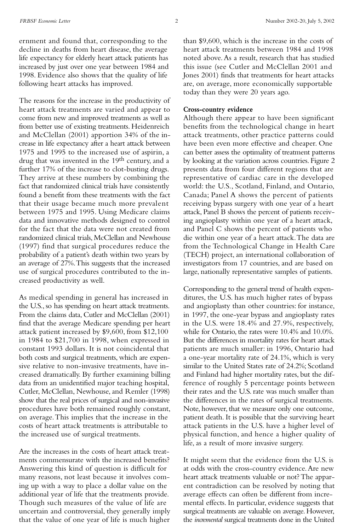ernment and found that, corresponding to the decline in deaths from heart disease, the average life expectancy for elderly heart attack patients has increased by just over one year between 1984 and 1998. Evidence also shows that the quality of life following heart attacks has improved.

The reasons for the increase in the productivity of heart attack treatments are varied and appear to come from new and improved treatments as well as from better use of existing treatments. Heidenreich and McClellan (2001) apportion 34% of the increase in life expectancy after a heart attack between 1975 and 1995 to the increased use of aspirin, a drug that was invented in the 19<sup>th</sup> century, and a further 17% of the increase to clot-busting drugs. They arrive at these numbers by combining the fact that randomized clinical trials have consistently found a benefit from these treatments with the fact that their usage became much more prevalent between 1975 and 1995. Using Medicare claims data and innovative methods designed to control for the fact that the data were not created from randomized clinical trials, McClellan and Newhouse (1997) find that surgical procedures reduce the probability of a patient's death within two years by an average of 27%.This suggests that the increased use of surgical procedures contributed to the increased productivity as well.

As medical spending in general has increased in the U.S., so has spending on heart attack treatments. From the claims data, Cutler and McClellan (2001) find that the average Medicare spending per heart attack patient increased by \$9,600, from \$12,100 in 1984 to \$21,700 in 1998, when expressed in constant 1993 dollars. It is not coincidental that both costs and surgical treatments, which are expensive relative to non-invasive treatments, have increased dramatically. By further examining billing data from an unidentified major teaching hospital, Cutler, McClellan, Newhouse, and Remler (1998) show that the real prices of surgical and non-invasive procedures have both remained roughly constant, on average.This implies that the increase in the costs of heart attack treatments is attributable to the increased use of surgical treatments.

Are the increases in the costs of heart attack treatments commensurate with the increased benefits? Answering this kind of question is difficult for many reasons, not least because it involves coming up with a way to place a dollar value on the additional year of life that the treatments provide. Though such measures of the value of life are uncertain and controversial, they generally imply that the value of one year of life is much higher

than \$9,600, which is the increase in the costs of heart attack treatments between 1984 and 1998 noted above.As a result, research that has studied this issue (see Cutler and McClellan 2001 and Jones 2001) finds that treatments for heart attacks are, on average, more economically supportable today than they were 20 years ago.

#### **Cross-country evidence**

Although there appear to have been significant benefits from the technological change in heart attack treatments, other practice patterns could have been even more effective and cheaper. One can better assess the optimality of treatment patterns by looking at the variation across countries. Figure 2 presents data from four different regions that are representative of cardiac care in the developed world: the U.S., Scotland, Finland, and Ontario, Canada; Panel A shows the percent of patients receiving bypass surgery with one year of a heart attack, Panel B shows the percent of patients receiving angioplasty within one year of a heart attack, and Panel C shows the percent of patients who die within one year of a heart attack.The data are from the Technological Change in Health Care (TECH) project, an international collaboration of investigators from 17 countries, and are based on large, nationally representative samples of patients.

Corresponding to the general trend of health expenditures, the U.S. has much higher rates of bypass and angioplasty than other countries: for instance, in 1997, the one-year bypass and angioplasty rates in the U.S. were 18.4% and 27.9%, respectively, while for Ontario, the rates were 10.4% and 10.0%. But the differences in mortality rates for heart attack patients are much smaller: in 1996, Ontario had a one-year mortality rate of 24.1%, which is very similar to the United States rate of 24.2%; Scotland and Finland had higher mortality rates, but the difference of roughly 5 percentage points between their rates and the U.S. rate was much smaller than the differences in the rates of surgical treatments. Note, however, that we measure only one outcome, patient death. It is possible that the surviving heart attack patients in the U.S. have a higher level of physical function, and hence a higher quality of life, as a result of more invasive surgery.

It might seem that the evidence from the U.S. is at odds with the cross-country evidence.Are new heart attack treatments valuable or not? The apparent contradiction can be resolved by noting that average effects can often be different from incremental effects. In particular, evidence suggests that surgical treatments are valuable on average. However, the *incremental* surgical treatments done in the United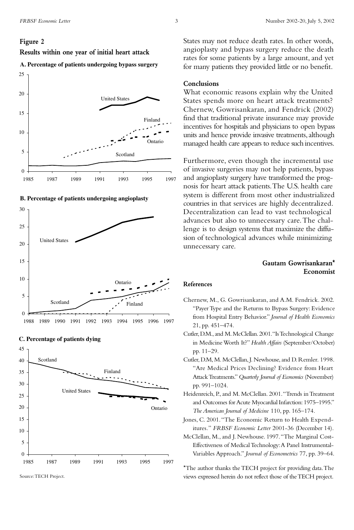#### **Figure 2**

**g y Results within one year of initial heart attack**













ource: TECH Project. Source:TECH Project.

States may not reduce death rates. In other words, angioplasty and bypass surgery reduce the death rates for some patients by a large amount, and yet for many patients they provided little or no benefit.

#### **Conclusions**

What economic reasons explain why the United States spends more on heart attack treatments? Chernew, Gowrisankaran, and Fendrick (2002) find that traditional private insurance may provide incentives for hospitals and physicians to open bypass units and hence provide invasive treatments, although managed health care appears to reduce such incentives.

Furthermore, even though the incremental use of invasive surgeries may not help patients, bypass and angioplasty surgery have transformed the prognosis for heart attack patients.The U.S. health care system is different from most other industrialized countries in that services are highly decentralized. Decentralization can lead to vast technological advances but also to unnecessary care.The challenge is to design systems that maximize the diffusion of technological advances while minimizing unnecessary care.

## **Gautam Gowrisankaran\* Economist**

#### **References**

- Chernew, M., G. Gowrisankaran, and A.M. Fendrick. 2002. "Payer Type and the Returns to Bypass Surgery: Evidence from Hospital Entry Behavior." *Journal of Health Economics* 21, pp. 451–474.
- Cutler,D.M.,and M.McClellan.2001."Is Technological Change in Medicine Worth It?" *Health Affairs* (September/October) pp. 11–29.
- Cutler, D.M, M. McClellan, J. Newhouse, and D. Remler. 1998. "Are Medical Prices Declining? Evidence from Heart Attack Treatments."*Quarterly Journal of Economics* (November) pp. 991–1024.
- Heidenreich, P., and M. McClellan. 2001."Trends in Treatment and Outcomes for Acute Myocardial Infarction: 1975–1995." *The American Journal of Medicine* 110, pp. 165–174.
- Jones, C. 2001."The Economic Return to Health Expenditures*.*" *FRBSF Economic Letter* 2001-36 (December 14).
- McClellan, M., and J. Newhouse. 1997."The Marginal Cost-Effectiveness of Medical Technology:A Panel Instrumental-Variables Approach." *Journal of Econometrics* 77, pp. 39–64.

\*The author thanks the TECH project for providing data.The views expressed herein do not reflect those of the TECH project.